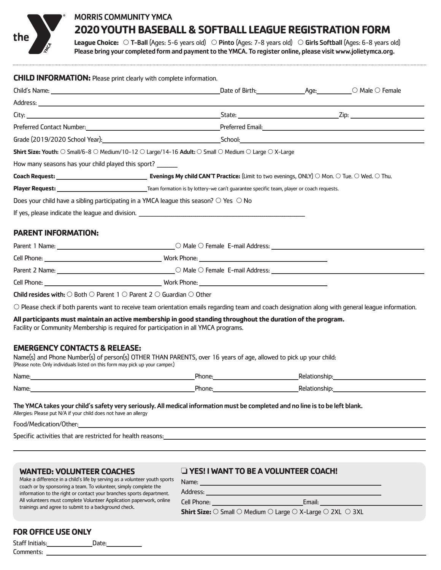

# MORRIS COMMUNITY YMCA **2020 YOUTH BASEBALL & SOFTBALL LEAGUE REGISTRATION FORM**

League Choice:  $\circ$  T-Ball (Ages: 5-6 years old)  $\circ$  Pinto (Ages: 7-8 years old)  $\circ$  Girls Softball (Ages: 6-8 years old) Please bring your completed form and payment to the YMCA. To register online, please visit www.jolietymca.org.

| <b>CHILD INFORMATION:</b> Please print clearly with complete information. |                                                                                                                                                                                                                                |                                                                                                                                                                                                                                |  |  |  |
|---------------------------------------------------------------------------|--------------------------------------------------------------------------------------------------------------------------------------------------------------------------------------------------------------------------------|--------------------------------------------------------------------------------------------------------------------------------------------------------------------------------------------------------------------------------|--|--|--|
|                                                                           | Child's Name: Child's Name: Child's Name: Child's Name: Child's Name: Child's Name: Compare: Compare of Birth: Child's Name: Compare of Birth: Child's Name: Compare of Birth: Child's Name: Compare of Birth: Child's Name: C |                                                                                                                                                                                                                                |  |  |  |
|                                                                           |                                                                                                                                                                                                                                |                                                                                                                                                                                                                                |  |  |  |
|                                                                           |                                                                                                                                                                                                                                |                                                                                                                                                                                                                                |  |  |  |
|                                                                           | Preferred Contact Number: National Contact Number: National Contract Online Contact Number: National Contact Number: National Contact Online Contact Number: National Contact Online Contact Online Contact Online Contact Onl |                                                                                                                                                                                                                                |  |  |  |
|                                                                           |                                                                                                                                                                                                                                | Grade (2019/2020 School Year). Notice that the second service of the School: School: School: School: School: School: School: School: School: School: School: School: School: School: School: School: School: School: School: S |  |  |  |
|                                                                           | <b>Shirt Size: Youth:</b> $\odot$ Small/6-8 $\odot$ Medium/10-12 $\odot$ Large/14-16 Adult: $\odot$ Small $\odot$ Medium $\odot$ Large $\odot$ X-Large                                                                         |                                                                                                                                                                                                                                |  |  |  |
| How many seasons has your child played this sport?                        |                                                                                                                                                                                                                                |                                                                                                                                                                                                                                |  |  |  |
|                                                                           |                                                                                                                                                                                                                                |                                                                                                                                                                                                                                |  |  |  |
|                                                                           |                                                                                                                                                                                                                                |                                                                                                                                                                                                                                |  |  |  |
|                                                                           | Does your child have a sibling participating in a YMCA league this season? $\circ$ Yes $\circ$ No                                                                                                                              |                                                                                                                                                                                                                                |  |  |  |
|                                                                           |                                                                                                                                                                                                                                |                                                                                                                                                                                                                                |  |  |  |
| <b>PARENT INFORMATION:</b>                                                |                                                                                                                                                                                                                                |                                                                                                                                                                                                                                |  |  |  |
| D <sub>parent</sub> 1 N <sub>max</sub>                                    | $\bigcap M_{2n} \bigcap$ Equals E mail Address                                                                                                                                                                                 |                                                                                                                                                                                                                                |  |  |  |

|                                                                                                     | LO Male O Female E-mail Address: Latin London and Address and Address and Address and Address and Address and A |  |
|-----------------------------------------------------------------------------------------------------|-----------------------------------------------------------------------------------------------------------------|--|
|                                                                                                     |                                                                                                                 |  |
|                                                                                                     |                                                                                                                 |  |
|                                                                                                     |                                                                                                                 |  |
| <b>Child resides with:</b> $\cap$ Roth $\cap$ Parent 1 $\cap$ Parent 2 $\cap$ Guardian $\cap$ Other |                                                                                                                 |  |

 $\circ$  Please check if both parents want to receive team orientation emails regarding team and coach designation along with general league information.

**All participants must maintain an active membership in good standing throughout the duration of the program.**

Facility or Community Membership is required for participation in all YMCA programs.

#### **EMERGENCY CONTACTS & RELEASE:**

Name(s) and Phone Number(s) of person(s) OTHER THAN PARENTS, over 16 years of age, allowed to pick up your child: (Please note: Only individuals listed on this form may pick up your camper.)

| Name. | Phone. | ⊸<br>shir     |
|-------|--------|---------------|
| Name: | Phone. | ∍ים ש<br>shin |

The YMCA takes your child's safety very seriously. All medical information must be completed and no line is to be left blank.

Name: Address:

Allergies: Please put N/A if your child does not have an allergy

Food/Medication/Other:

Specific activities that are restricted for health reasons:

#### **WANTED: VOLUNTEER COACHES**

## ❏ **YES! I WANT TO BE A VOLUNTEER COACH!**

Make a difference in a child's life by serving as a volunteer youth sports coach or by sponsoring a team. To volunteer, simply complete the information to the right or contact your branches sports department. All volunteers must complete Volunteer Application paperwork, online trainings and agree to submit to a background check.

Cell Phone: Email:

**Shirt Size:**  $\bigcirc$  Small  $\bigcirc$  Medium  $\bigcirc$  Large  $\bigcirc$  X-Large  $\bigcirc$  2XL  $\bigcirc$  3XL

## **FOR OFFICE USE ONLY**

Staff Initials: Date: Comments: \_\_